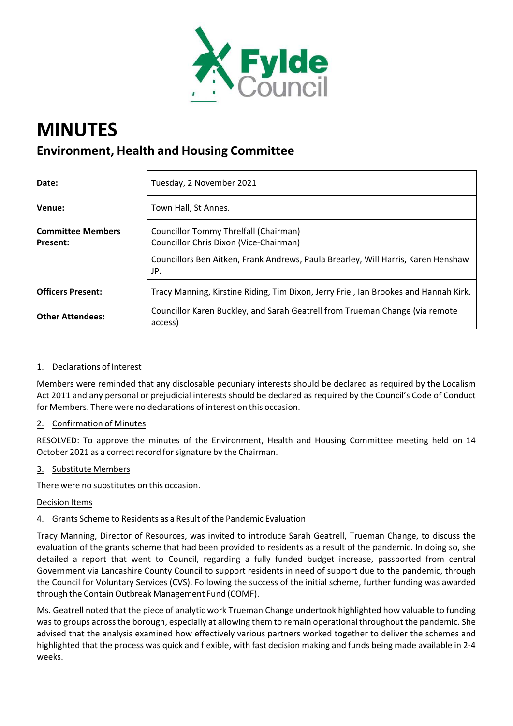

# **MINUTES Environment, Health and Housing Committee**

| Date:                                | Tuesday, 2 November 2021                                                                                                                                                    |
|--------------------------------------|-----------------------------------------------------------------------------------------------------------------------------------------------------------------------------|
| Venue:                               | Town Hall, St Annes.                                                                                                                                                        |
| <b>Committee Members</b><br>Present: | Councillor Tommy Threlfall (Chairman)<br>Councillor Chris Dixon (Vice-Chairman)<br>Councillors Ben Aitken, Frank Andrews, Paula Brearley, Will Harris, Karen Henshaw<br>JP. |
| <b>Officers Present:</b>             | Tracy Manning, Kirstine Riding, Tim Dixon, Jerry Friel, Ian Brookes and Hannah Kirk.                                                                                        |
| <b>Other Attendees:</b>              | Councillor Karen Buckley, and Sarah Geatrell from Trueman Change (via remote<br>access)                                                                                     |

# 1. Declarations of Interest

Members were reminded that any disclosable pecuniary interests should be declared as required by the Localism Act 2011 and any personal or prejudicial interests should be declared as required by the Council's Code of Conduct for Members. There were no declarations of interest on this occasion.

## 2. Confirmation of Minutes

RESOLVED: To approve the minutes of the Environment, Health and Housing Committee meeting held on 14 October 2021 as a correct record for signature by the Chairman.

#### 3. Substitute Members

There were no substitutes on this occasion.

#### Decision Items

## 4. Grants Scheme to Residents as a Result of the Pandemic Evaluation

Tracy Manning, Director of Resources, was invited to introduce Sarah Geatrell, Trueman Change, to discuss the evaluation of the grants scheme that had been provided to residents as a result of the pandemic. In doing so, she detailed a report that went to Council, regarding a fully funded budget increase, passported from central Government via Lancashire County Council to support residents in need of support due to the pandemic, through the Council for Voluntary Services (CVS). Following the success of the initial scheme, further funding was awarded through the Contain Outbreak Management Fund (COMF).

Ms. Geatrell noted that the piece of analytic work Trueman Change undertook highlighted how valuable to funding wasto groups acrossthe borough, especially at allowing them to remain operational throughout the pandemic. She advised that the analysis examined how effectively various partners worked together to deliver the schemes and highlighted that the process was quick and flexible, with fast decision making and funds being made available in 2‐4 weeks.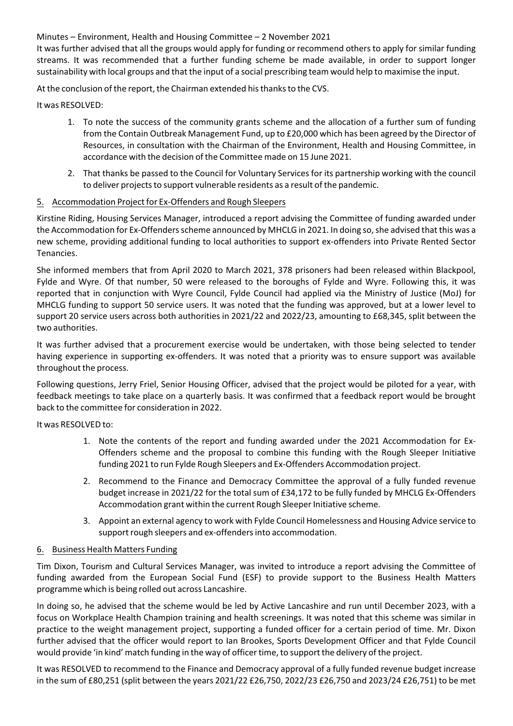Minutes – Environment, Health and Housing Committee – 2 November 2021

It was further advised that all the groups would apply for funding or recommend others to apply for similar funding streams. It was recommended that a further funding scheme be made available, in order to support longer sustainability with local groups and that the input of a social prescribing team would help to maximise the input.

At the conclusion of the report, the Chairman extended his thanks to the CVS.

It was RESOLVED:

- 1. To note the success of the community grants scheme and the allocation of a further sum of funding from the Contain Outbreak Management Fund, up to £20,000 which has been agreed by the Director of Resources, in consultation with the Chairman of the Environment, Health and Housing Committee, in accordance with the decision of the Committee made on 15 June 2021.
- 2. That thanks be passed to the Council for Voluntary Services for its partnership working with the council to deliver projects to support vulnerable residents as a result of the pandemic.

#### 5. Accommodation Project for Ex‐Offenders and Rough Sleepers

Kirstine Riding, Housing Services Manager, introduced a report advising the Committee of funding awarded under the Accommodation for Ex-Offenders scheme announced by MHCLG in 2021. In doing so, she advised that this was a new scheme, providing additional funding to local authorities to support ex‐offenders into Private Rented Sector Tenancies.

She informed members that from April 2020 to March 2021, 378 prisoners had been released within Blackpool, Fylde and Wyre. Of that number, 50 were released to the boroughs of Fylde and Wyre. Following this, it was reported that in conjunction with Wyre Council, Fylde Council had applied via the Ministry of Justice (MoJ) for MHCLG funding to support 50 service users. It was noted that the funding was approved, but at a lower level to support 20 service users across both authorities in 2021/22 and 2022/23, amounting to £68,345, split between the two authorities.

It was further advised that a procurement exercise would be undertaken, with those being selected to tender having experience in supporting ex-offenders. It was noted that a priority was to ensure support was available throughout the process.

Following questions, Jerry Friel, Senior Housing Officer, advised that the project would be piloted for a year, with feedback meetings to take place on a quarterly basis. It was confirmed that a feedback report would be brought back to the committee for consideration in 2022.

It was RESOLVED to:

- 1. Note the contents of the report and funding awarded under the 2021 Accommodation for Ex‐ Offenders scheme and the proposal to combine this funding with the Rough Sleeper Initiative funding 2021 to run Fylde Rough Sleepers and Ex‐Offenders Accommodation project.
- 2. Recommend to the Finance and Democracy Committee the approval of a fully funded revenue budget increase in 2021/22 for the total sum of £34,172 to be fully funded by MHCLG Ex‐Offenders Accommodation grant within the current Rough Sleeper Initiative scheme.
- 3. Appoint an external agency to work with Fylde Council Homelessness and Housing Advice service to support rough sleepers and ex-offenders into accommodation.

#### 6. Business Health Matters Funding

Tim Dixon, Tourism and Cultural Services Manager, was invited to introduce a report advising the Committee of funding awarded from the European Social Fund (ESF) to provide support to the Business Health Matters programme which is being rolled out across Lancashire.

In doing so, he advised that the scheme would be led by Active Lancashire and run until December 2023, with a focus on Workplace Health Champion training and health screenings. It was noted that this scheme was similar in practice to the weight management project, supporting a funded officer for a certain period of time. Mr. Dixon further advised that the officer would report to Ian Brookes, Sports Development Officer and that Fylde Council would provide 'in kind' match funding in the way of officertime, to support the delivery of the project.

It was RESOLVED to recommend to the Finance and Democracy approval of a fully funded revenue budget increase in the sum of £80,251 (split between the years 2021/22 £26,750, 2022/23 £26,750 and 2023/24 £26,751) to be met